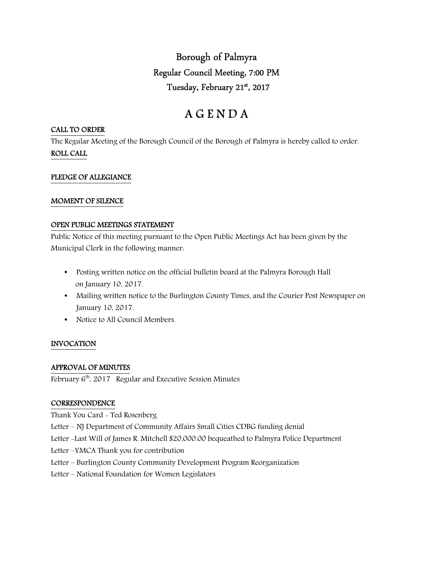Borough of Palmyra Regular Council Meeting, 7:00 PM Tuesday, February 21st , 2017

# A G E N D A

#### CALL TO ORDER

The Regular Meeting of the Borough Council of the Borough of Palmyra is hereby called to order. ROLL CALL

## PLEDGE OF ALLEGIANCE

#### MOMENT OF SILENCE

#### OPEN PUBLIC MEETINGS STATEMENT

Public Notice of this meeting pursuant to the Open Public Meetings Act has been given by the Municipal Clerk in the following manner:

- Posting written notice on the official bulletin board at the Palmyra Borough Hall on January 10, 2017.
- Mailing written notice to the Burlington County Times, and the Courier Post Newspaper on January 10, 2017.
- Notice to All Council Members.

## INVOCATION

#### APPROVAL OF MINUTES

February  $6<sup>th</sup>$ , 2017 Regular and Executive Session Minutes

#### **CORRESPONDENCE**

Thank You Card - Ted Rosenberg Letter – NJ Department of Community Affairs Small Cities CDBG funding denial Letter -Last Will of James R. Mitchell \$20,000.00 bequeathed to Palmyra Police Department Letter –YMCA Thank you for contribution Letter – Burlington County Community Development Program Reorganization Letter – National Foundation for Women Legislators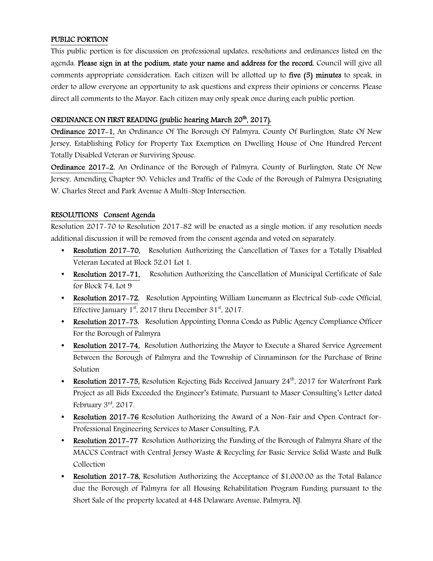## PUBLIC PORTION

This public portion is for discussion on professional updates, resolutions and ordinances listed on the agenda. Please sign in at the podium, state your name and address for the record. Council will give all comments appropriate consideration. Each citizen will be allotted up to five (5) minutes to speak, in order to allow everyone an opportunity to ask questions and express their opinions or concerns. Please direct all comments to the Mayor. Each citizen may only speak once during each public portion.

## ORDINANCE ON FIRST READING (public hearing March 20<sup>th</sup>, 2017).

Ordinance 2017-1, An Ordinance Of The Borough Of Palmyra, County Of Burlington, State Of New Jersey, Establishing Policy for Property Tax Exemption on Dwelling House of One Hundred Percent Totally Disabled Veteran or Surviving Spouse.

Ordinance 2017-2, An Ordinance of the Borough of Palmyra, County of Burlington, State Of New Jersey, Amending Chapter 90: Vehicles and Traffic of the Code of the Borough of Palmyra Designating W. Charles Street and Park Avenue A Multi-Stop Intersection.

## RESOLUTIONS Consent Agenda

Resolution 2017-70 to Resolution 2017-82 will be enacted as a single motion, if any resolution needs additional discussion it will be removed from the consent agenda and voted on separately.

- Resolution 2017-70, Resolution Authorizing the Cancellation of Taxes for a Totally Disabled Veteran Located at Block 52.01 Lot 1.
- Resolution 2017-71, Resolution Authorizing the Cancellation of Municipal Certificate of Sale for Block 74, Lot 9
- Resolution 2017-72, Resolution Appointing William Lunemann as Electrical Sub-code Official, Effective January  $1<sup>st</sup>$ , 2017 thru December 31 $<sup>st</sup>$ , 2017.</sup>
- Resolution 2017-73, Resolution Appointing Donna Condo as Public Agency Compliance Officer For the Borough of Palmyra
- Resolution 2017-74, Resolution Authorizing the Mayor to Execute a Shared Service Agreement Between the Borough of Palmyra and the Township of Cinnaminson for the Purchase of Brine Solution
- Resolution 2017-75, Resolution Rejecting Bids Received January  $24<sup>th</sup>$ , 2017 for Waterfront Park Project as all Bids Exceeded the Engineer's Estimate, Pursuant to Maser Consulting's Letter dated February 3<sup>rd</sup>, 2017.
- Resolution 2017-76 Resolution Authorizing the Award of a Non-Fair and Open Contract for-Professional Engineering Services to Maser Consulting, P.A.
- Resolution 2017-77 Resolution Authorizing the Funding of the Borough of Palmyra Share of the MACCS Contract with Central Jersey Waste & Recycling for Basic Service Solid Waste and Bulk Collection
- Resolution 2017-78, Resolution Authorizing the Acceptance of \$1,000.00 as the Total Balance due the Borough of Palmyra for all Housing Rehabilitation Program Funding pursuant to the Short Sale of the property located at 448 Delaware Avenue, Palmyra, NJ.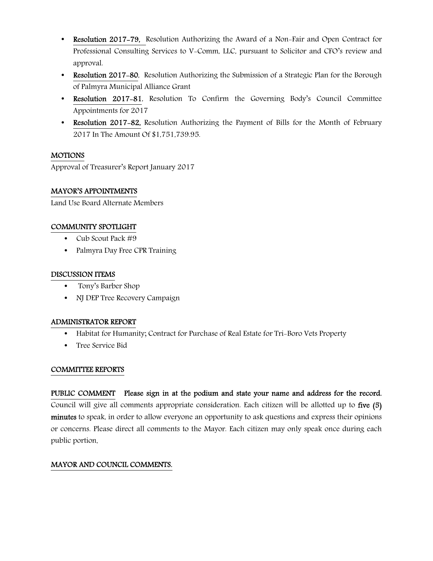- Resolution 2017-79, Resolution Authorizing the Award of a Non-Fair and Open Contract for Professional Consulting Services to V-Comm, LLC, pursuant to Solicitor and CFO's review and approval.
- Resolution 2017-80, Resolution Authorizing the Submission of a Strategic Plan for the Borough of Palmyra Municipal Alliance Grant
- Resolution 2017-81, Resolution To Confirm the Governing Body's Council Committee Appointments for 2017
- Resolution 2017-82, Resolution Authorizing the Payment of Bills for the Month of February 2017 In The Amount Of \$1,751,739.95.

## MOTIONS

Approval of Treasurer's Report January 2017

## MAYOR'S APPOINTMENTS

Land Use Board Alternate Members

## COMMUNITY SPOTLIGHT

- Cub Scout Pack #9
- Palmyra Day Free CPR Training

#### DISCUSSION ITEMS

- Tony's Barber Shop
- NJ DEP Tree Recovery Campaign

#### ADMINISTRATOR REPORT

- Habitat for Humanity; Contract for Purchase of Real Estate for Tri-Boro Vets Property
- Tree Service Bid

#### COMMITTEE REPORTS

PUBLIC COMMENT Please sign in at the podium and state your name and address for the record. Council will give all comments appropriate consideration. Each citizen will be allotted up to five (5) minutes to speak, in order to allow everyone an opportunity to ask questions and express their opinions or concerns. Please direct all comments to the Mayor. Each citizen may only speak once during each public portion.

## MAYOR AND COUNCIL COMMENTS.